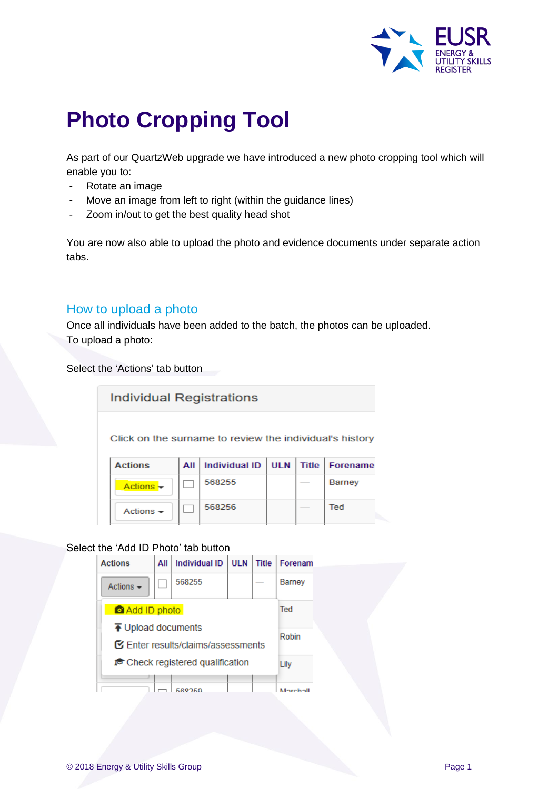

# **Photo Cropping Tool**

As part of our QuartzWeb upgrade we have introduced a new photo cropping tool which will enable you to:

- Rotate an image
- Move an image from left to right (within the guidance lines)
- Zoom in/out to get the best quality head shot

You are now also able to upload the photo and evidence documents under separate action tabs.

### How to upload a photo

Once all individuals have been added to the batch, the photos can be uploaded. To upload a photo:

Select the 'Actions' tab button

**Individual Registrations** 

Click on the surname to review the individual's history

| <b>Actions</b>        | All I | Individual ID   ULN   Title   Forename |  |               |
|-----------------------|-------|----------------------------------------|--|---------------|
| Actions –             |       | 568255                                 |  | <b>Barney</b> |
| Actions $\rightarrow$ |       | 568256                                 |  | Ted           |

#### Select the 'Add ID Photo' tab button

| <b>Actions</b>                                                               | All    | Individual ID ULN |  | <b>Title</b> | Forenam         |  |
|------------------------------------------------------------------------------|--------|-------------------|--|--------------|-----------------|--|
| Actions $\blacktriangleright$                                                | 568255 |                   |  |              | <b>Barney</b>   |  |
| Add ID photo                                                                 | Ted    |                   |  |              |                 |  |
| $\overline{\textbf{f}}$ Upload documents<br>Enter results/claims/assessments | Robin  |                   |  |              |                 |  |
| reack registered qualification                                               |        |                   |  |              | Lily            |  |
|                                                                              |        | conco             |  |              | <b>Marahall</b> |  |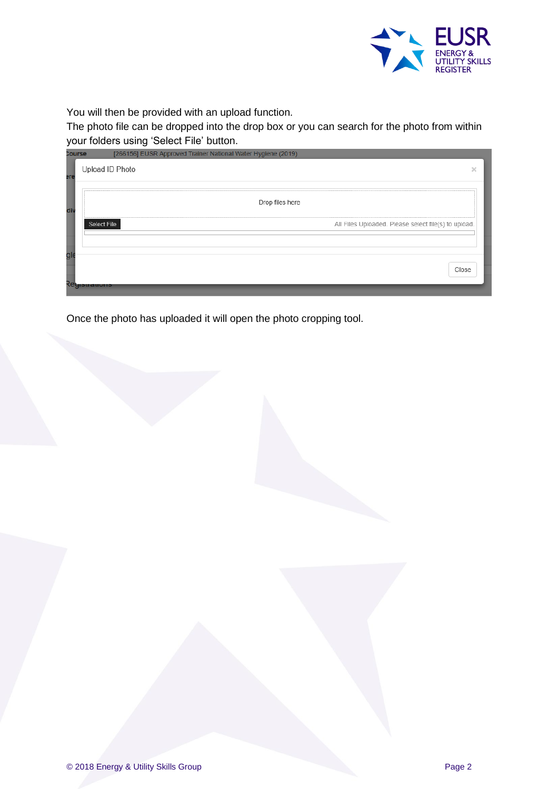

You will then be provided with an upload function.

The photo file can be dropped into the drop box or you can search for the photo from within your folders using 'Select File' button.

| <b>Course</b> | [266156] EUSR Approved Trainer National Water Hygiene (2019)               |   |
|---------------|----------------------------------------------------------------------------|---|
| ere           | Upload ID Photo                                                            | × |
| di            | Drop files here                                                            |   |
|               | <b>Select File</b><br>All Files Uploaded. Please select file(s) to upload. |   |
| gl            | Close<br>Reyiou auvrior                                                    |   |
|               |                                                                            |   |

Once the photo has uploaded it will open the photo cropping tool.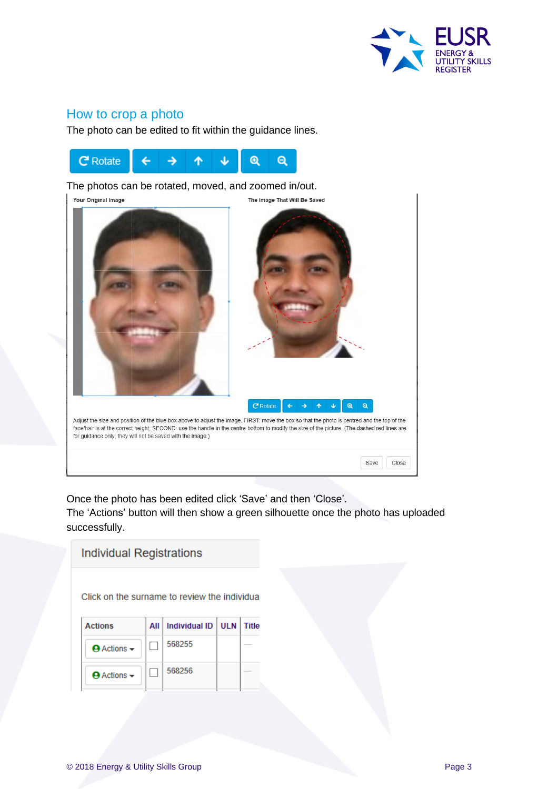

## How to crop a photo

The photo can be edited to fit within the guidance lines.



The photos can be rotated, moved, and zoomed in/out.



Once the photo has been edited click 'Save' and then 'Close'.

The 'Actions' button will then show a green silhouette once the photo has uploaded successfully.

| <b>Individual Registrations</b> |                                              |                      |            |              |  |  |  |  |
|---------------------------------|----------------------------------------------|----------------------|------------|--------------|--|--|--|--|
|                                 |                                              |                      |            |              |  |  |  |  |
|                                 | Click on the surname to review the individua |                      |            |              |  |  |  |  |
| <b>Actions</b>                  | All                                          | <b>Individual ID</b> | <b>ULN</b> | <b>Title</b> |  |  |  |  |
| $\Theta$ Actions $\sim$         |                                              | 568255               |            |              |  |  |  |  |
| $\Theta$ Actions $\sim$         |                                              | 568256               |            |              |  |  |  |  |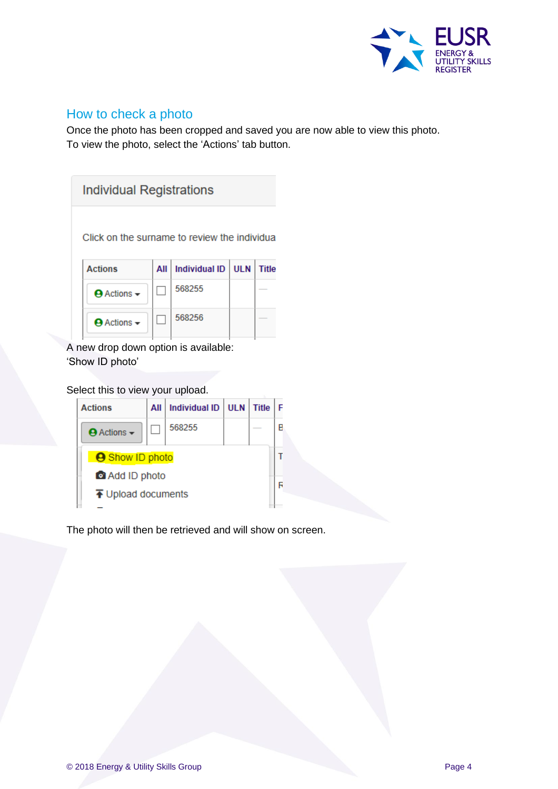

## How to check a photo

Once the photo has been cropped and saved you are now able to view this photo. To view the photo, select the 'Actions' tab button.

| Individual Registrations                     |     |                      |      |              |  |  |  |
|----------------------------------------------|-----|----------------------|------|--------------|--|--|--|
| Click on the surname to review the individua |     |                      |      |              |  |  |  |
| <b>Actions</b>                               | All | <b>Individual ID</b> | UI N | <b>Title</b> |  |  |  |
| $\Theta$ Actions $\sim$                      |     | 568255               |      |              |  |  |  |
| $\Theta$ Actions $\sim$                      |     | 568256               |      |              |  |  |  |

A new drop down option is available: 'Show ID photo'

#### Select this to view your upload.

| <b>Actions</b>                           | All | <b>Individual ID</b> | <b>ULN</b> | <b>Title</b> |   |
|------------------------------------------|-----|----------------------|------------|--------------|---|
| $\Theta$ Actions $\sim$                  |     | 568255               |            |              | R |
| <b>A</b> Show ID photo                   |     |                      |            |              |   |
| Add ID photo                             |     |                      |            |              |   |
| $\overline{\textbf{f}}$ Upload documents |     |                      |            |              |   |

The photo will then be retrieved and will show on screen.